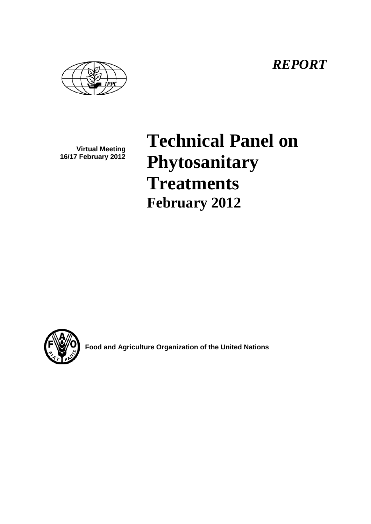*REPORT*

**Virtual Meeting 16/17 February 2012**

# **Technical Panel on Phytosanitary Treatments February 2012**



**Food and Agriculture Organization of the United Nations**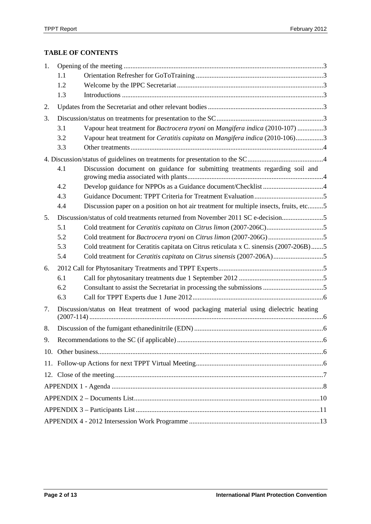# **TABLE OF CONTENTS**

| 1. |                                                                                         |                                                                                            |  |  |
|----|-----------------------------------------------------------------------------------------|--------------------------------------------------------------------------------------------|--|--|
|    | 1.1                                                                                     |                                                                                            |  |  |
|    | 1.2                                                                                     |                                                                                            |  |  |
|    | 1.3                                                                                     |                                                                                            |  |  |
| 2. |                                                                                         |                                                                                            |  |  |
| 3. |                                                                                         |                                                                                            |  |  |
|    | 3.1                                                                                     | Vapour heat treatment for Bactrocera tryoni on Mangifera indica (2010-107) 3               |  |  |
|    | 3.2                                                                                     | Vapour heat treatment for <i>Ceratitis capitata</i> on <i>Mangifera indica</i> (2010-106)3 |  |  |
|    | 3.3                                                                                     |                                                                                            |  |  |
|    |                                                                                         |                                                                                            |  |  |
|    | 4.1                                                                                     | Discussion document on guidance for submitting treatments regarding soil and               |  |  |
|    | 4.2                                                                                     |                                                                                            |  |  |
|    | 4.3                                                                                     |                                                                                            |  |  |
|    | 4.4                                                                                     | Discussion paper on a position on hot air treatment for multiple insects, fruits, etc5     |  |  |
| 5. |                                                                                         | Discussion/status of cold treatments returned from November 2011 SC e-decision             |  |  |
|    | 5.1                                                                                     | Cold treatment for Ceratitis capitata on Citrus limon (2007-206C)5                         |  |  |
|    | 5.2                                                                                     |                                                                                            |  |  |
|    | 5.3                                                                                     | Cold treatment for Ceratitis capitata on Citrus reticulata x C. sinensis (2007-206B)5      |  |  |
|    | 5.4                                                                                     |                                                                                            |  |  |
| 6. |                                                                                         |                                                                                            |  |  |
|    | 6.1                                                                                     |                                                                                            |  |  |
|    | 6.2                                                                                     |                                                                                            |  |  |
|    | 6.3                                                                                     |                                                                                            |  |  |
| 7. | Discussion/status on Heat treatment of wood packaging material using dielectric heating |                                                                                            |  |  |
| 8. |                                                                                         |                                                                                            |  |  |
| 9. |                                                                                         |                                                                                            |  |  |
|    |                                                                                         |                                                                                            |  |  |
|    |                                                                                         |                                                                                            |  |  |
|    |                                                                                         |                                                                                            |  |  |
|    |                                                                                         |                                                                                            |  |  |
|    |                                                                                         |                                                                                            |  |  |
|    |                                                                                         |                                                                                            |  |  |
|    |                                                                                         |                                                                                            |  |  |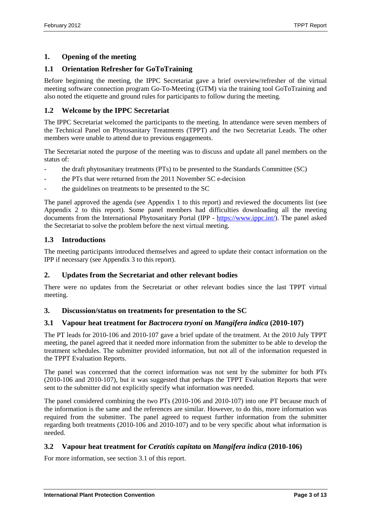## <span id="page-2-0"></span>**1. Opening of the meeting**

### <span id="page-2-1"></span>**1.1 Orientation Refresher for GoToTraining**

Before beginning the meeting, the IPPC Secretariat gave a brief overview/refresher of the virtual meeting software connection program Go-To-Meeting (GTM) via the training tool GoToTraining and also noted the etiquette and ground rules for participants to follow during the meeting.

#### <span id="page-2-2"></span>**1.2 Welcome by the IPPC Secretariat**

The IPPC Secretariat welcomed the participants to the meeting. In attendance were seven members of the Technical Panel on Phytosanitary Treatments (TPPT) and the two Secretariat Leads. The other members were unable to attend due to previous engagements.

The Secretariat noted the purpose of the meeting was to discuss and update all panel members on the status of:

- the draft phytosanitary treatments (PTs) to be presented to the Standards Committee (SC)
- the PTs that were returned from the 2011 November SC e-decision
- the guidelines on treatments to be presented to the SC

The panel approved the agenda (see Appendix 1 to this report) and reviewed the documents list (see Appendix 2 to this report). Some panel members had difficulties downloading all the meeting documents from the International Phytosanitary Portal (IPP - [https://www.ippc.int/\)](https://www.ippc.int/). The panel asked the Secretariat to solve the problem before the next virtual meeting.

#### <span id="page-2-3"></span>**1.3 Introductions**

The meeting participants introduced themselves and agreed to update their contact information on the IPP if necessary (see Appendix 3 to this report).

#### <span id="page-2-4"></span>**2. Updates from the Secretariat and other relevant bodies**

There were no updates from the Secretariat or other relevant bodies since the last TPPT virtual meeting.

#### <span id="page-2-5"></span>**3. Discussion/status on treatments for presentation to the SC**

#### <span id="page-2-6"></span>**3.1 Vapour heat treatment for** *Bactrocera tryoni* **on** *Mangifera indica* **(2010-107)**

The PT leads for 2010-106 and 2010-107 gave a brief update of the treatment. At the 2010 July TPPT meeting, the panel agreed that it needed more information from the submitter to be able to develop the treatment schedules. The submitter provided information, but not all of the information requested in the TPPT Evaluation Reports.

The panel was concerned that the correct information was not sent by the submitter for both PTs (2010-106 and 2010-107), but it was suggested that perhaps the TPPT Evaluation Reports that were sent to the submitter did not explicitly specify what information was needed.

The panel considered combining the two PTs (2010-106 and 2010-107) into one PT because much of the information is the same and the references are similar. However, to do this, more information was required from the submitter. The panel agreed to request further information from the submitter regarding both treatments (2010-106 and 2010-107) and to be very specific about what information is needed.

#### <span id="page-2-7"></span>**3.2 Vapour heat treatment for** *Ceratitis capitata* **on** *Mangifera indica* **(2010-106)**

For more information, see section 3.1 of this report.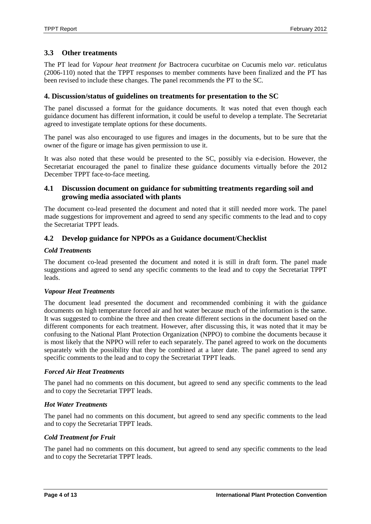#### <span id="page-3-0"></span>**3.3 Other treatments**

The PT lead for *Vapour heat treatment for* Bactrocera cucurbitae *on* Cucumis melo *var.* reticulatus (2006-110) noted that the TPPT responses to member comments have been finalized and the PT has been revised to include these changes. The panel recommends the PT to the SC.

#### <span id="page-3-1"></span>**4. Discussion/status of guidelines on treatments for presentation to the SC**

The panel discussed a format for the guidance documents. It was noted that even though each guidance document has different information, it could be useful to develop a template. The Secretariat agreed to investigate template options for these documents.

The panel was also encouraged to use figures and images in the documents, but to be sure that the owner of the figure or image has given permission to use it.

It was also noted that these would be presented to the SC, possibly via e-decision. However, the Secretariat encouraged the panel to finalize these guidance documents virtually before the 2012 December TPPT face-to-face meeting.

#### <span id="page-3-2"></span>**4.1 Discussion document on guidance for submitting treatments regarding soil and growing media associated with plants**

The document co-lead presented the document and noted that it still needed more work. The panel made suggestions for improvement and agreed to send any specific comments to the lead and to copy the Secretariat TPPT leads.

#### <span id="page-3-3"></span>**4.2 Develop guidance for NPPOs as a Guidance document/Checklist**

#### *Cold Treatments*

The document co-lead presented the document and noted it is still in draft form. The panel made suggestions and agreed to send any specific comments to the lead and to copy the Secretariat TPPT leads.

#### *Vapour Heat Treatments*

The document lead presented the document and recommended combining it with the guidance documents on high temperature forced air and hot water because much of the information is the same. It was suggested to combine the three and then create different sections in the document based on the different components for each treatment. However, after discussing this, it was noted that it may be confusing to the National Plant Protection Organization (NPPO) to combine the documents because it is most likely that the NPPO will refer to each separately. The panel agreed to work on the documents separately with the possibility that they be combined at a later date. The panel agreed to send any specific comments to the lead and to copy the Secretariat TPPT leads.

#### *Forced Air Heat Treatments*

The panel had no comments on this document, but agreed to send any specific comments to the lead and to copy the Secretariat TPPT leads.

#### *Hot Water Treatments*

The panel had no comments on this document, but agreed to send any specific comments to the lead and to copy the Secretariat TPPT leads.

#### *Cold Treatment for Fruit*

The panel had no comments on this document, but agreed to send any specific comments to the lead and to copy the Secretariat TPPT leads.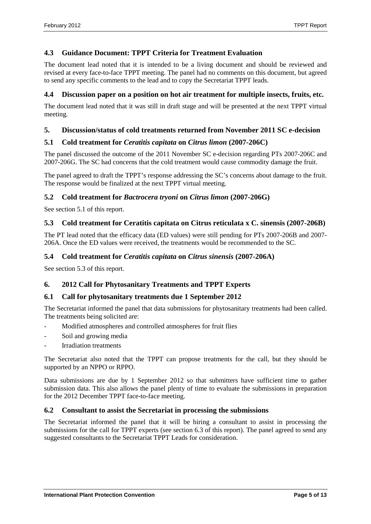## <span id="page-4-0"></span>**4.3 Guidance Document: TPPT Criteria for Treatment Evaluation**

The document lead noted that it is intended to be a living document and should be reviewed and revised at every face-to-face TPPT meeting. The panel had no comments on this document, but agreed to send any specific comments to the lead and to copy the Secretariat TPPT leads.

#### <span id="page-4-1"></span>**4.4 Discussion paper on a position on hot air treatment for multiple insects, fruits, etc.**

The document lead noted that it was still in draft stage and will be presented at the next TPPT virtual meeting.

#### <span id="page-4-2"></span>**5. Discussion/status of cold treatments returned from November 2011 SC e-decision**

#### <span id="page-4-3"></span>**5.1 Cold treatment for** *Ceratitis capitata* **on** *Citrus limon* **(2007-206C)**

The panel discussed the outcome of the 2011 November SC e-decision regarding PTs 2007-206C and 2007-206G. The SC had concerns that the cold treatment would cause commodity damage the fruit.

The panel agreed to draft the TPPT's response addressing the SC's concerns about damage to the fruit. The response would be finalized at the next TPPT virtual meeting.

#### <span id="page-4-4"></span>**5.2 Cold treatment for** *Bactrocera tryoni* **on** *Citrus limon* **(2007-206G)**

See section 5.1 of this report.

#### <span id="page-4-5"></span>**5.3 Cold treatment for Ceratitis capitata on Citrus reticulata x C. sinensis (2007-206B)**

The PT lead noted that the efficacy data (ED values) were still pending for PTs 2007-206B and 2007- 206A. Once the ED values were received, the treatments would be recommended to the SC.

#### <span id="page-4-6"></span>**5.4 Cold treatment for** *Ceratitis capitata* **on** *Citrus sinensis* **(2007-206A)**

See section 5.3 of this report.

#### <span id="page-4-7"></span>**6. 2012 Call for Phytosanitary Treatments and TPPT Experts**

#### <span id="page-4-8"></span>**6.1 Call for phytosanitary treatments due 1 September 2012**

The Secretariat informed the panel that data submissions for phytosanitary treatments had been called. The treatments being solicited are:

- Modified atmospheres and controlled atmospheres for fruit flies
- Soil and growing media
- **Irradiation treatments**

The Secretariat also noted that the TPPT can propose treatments for the call, but they should be supported by an NPPO or RPPO.

Data submissions are due by 1 September 2012 so that submitters have sufficient time to gather submission data. This also allows the panel plenty of time to evaluate the submissions in preparation for the 2012 December TPPT face-to-face meeting.

#### <span id="page-4-9"></span>**6.2 Consultant to assist the Secretariat in processing the submissions**

The Secretariat informed the panel that it will be hiring a consultant to assist in processing the submissions for the call for TPPT experts (see section 6.3 of this report). The panel agreed to send any suggested consultants to the Secretariat TPPT Leads for consideration.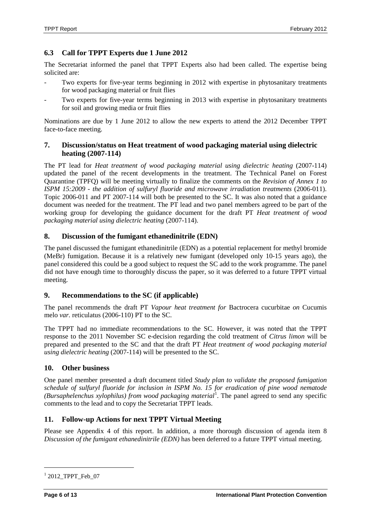## <span id="page-5-0"></span>**6.3 Call for TPPT Experts due 1 June 2012**

The Secretariat informed the panel that TPPT Experts also had been called. The expertise being solicited are:

- Two experts for five-year terms beginning in 2012 with expertise in phytosanitary treatments for wood packaging material or fruit flies
- Two experts for five-year terms beginning in 2013 with expertise in phytosanitary treatments for soil and growing media or fruit flies

Nominations are due by 1 June 2012 to allow the new experts to attend the 2012 December TPPT face-to-face meeting.

#### <span id="page-5-1"></span>**7. Discussion/status on Heat treatment of wood packaging material using dielectric heating (2007-114)**

The PT lead for *Heat treatment of wood packaging material using dielectric heating* (2007-114) updated the panel of the recent developments in the treatment. The Technical Panel on Forest Quarantine (TPFQ) will be meeting virtually to finalize the comments on the *Revision of Annex 1 to ISPM 15:2009 - the addition of sulfuryl fluoride and microwave irradiation treatments* (2006-011). Topic 2006-011 and PT 2007-114 will both be presented to the SC. It was also noted that a guidance document was needed for the treatment. The PT lead and two panel members agreed to be part of the working group for developing the guidance document for the draft PT *Heat treatment of wood packaging material using dielectric heating* (2007-114).

#### <span id="page-5-2"></span>**8. Discussion of the fumigant ethanedinitrile (EDN)**

The panel discussed the fumigant ethanedinitrile (EDN) as a potential replacement for methyl bromide (MeBr) fumigation. Because it is a relatively new fumigant (developed only 10-15 years ago), the panel considered this could be a good subject to request the SC add to the work programme. The panel did not have enough time to thoroughly discuss the paper, so it was deferred to a future TPPT virtual meeting.

#### <span id="page-5-3"></span>**9. Recommendations to the SC (if applicable)**

The panel recommends the draft PT *Vapour heat treatment for* Bactrocera cucurbitae *on* Cucumis melo *var.* reticulatus (2006-110) PT to the SC.

The TPPT had no immediate recommendations to the SC. However, it was noted that the TPPT response to the 2011 November SC e-decision regarding the cold treatment of *Citrus limon* will be prepared and presented to the SC and that the draft PT *Heat treatment of wood packaging material using dielectric heating* (2007-114) will be presented to the SC.

#### <span id="page-5-4"></span>**10. Other business**

One panel member presented a draft document titled *Study plan to validate the proposed fumigation schedule of sulfuryl fluoride for inclusion in ISPM No. 15 for eradication of pine wood nematode*  (Bursaphelenchus xylophilus) from wood packaging material<sup>[1](#page-5-6)</sup>. The panel agreed to send any specific comments to the lead and to copy the Secretariat TPPT leads.

#### <span id="page-5-5"></span>**11. Follow-up Actions for next TPPT Virtual Meeting**

Please see Appendix 4 of this report. In addition, a more thorough discussion of agenda item 8 *Discussion of the fumigant ethanedinitrile (EDN)* has been deferred to a future TPPT virtual meeting.

<span id="page-5-6"></span> $12012$ \_TPPT\_Feb\_07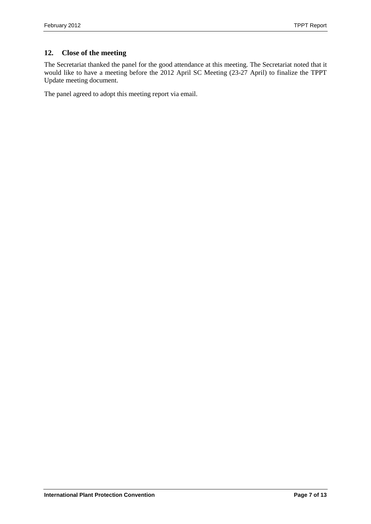# <span id="page-6-0"></span>**12. Close of the meeting**

The Secretariat thanked the panel for the good attendance at this meeting. The Secretariat noted that it would like to have a meeting before the 2012 April SC Meeting (23-27 April) to finalize the TPPT Update meeting document.

The panel agreed to adopt this meeting report via email.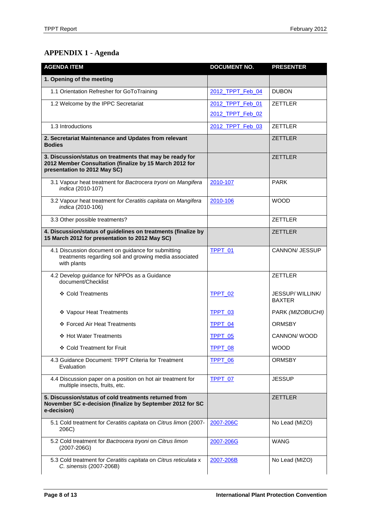# <span id="page-7-0"></span>**APPENDIX 1 - Agenda**

| <b>AGENDA ITEM</b>                                                                                                                                  | <b>DOCUMENT NO.</b> | <b>PRESENTER</b>                 |
|-----------------------------------------------------------------------------------------------------------------------------------------------------|---------------------|----------------------------------|
| 1. Opening of the meeting                                                                                                                           |                     |                                  |
| 1.1 Orientation Refresher for GoToTraining                                                                                                          | 2012 TPPT Feb 04    | <b>DUBON</b>                     |
| 1.2 Welcome by the IPPC Secretariat                                                                                                                 | 2012 TPPT Feb 01    | <b>ZETTLER</b>                   |
|                                                                                                                                                     | 2012 TPPT Feb 02    |                                  |
| 1.3 Introductions                                                                                                                                   | 2012 TPPT Feb 03    | <b>ZETTLER</b>                   |
| 2. Secretariat Maintenance and Updates from relevant<br><b>Bodies</b>                                                                               |                     | <b>ZETTLER</b>                   |
| 3. Discussion/status on treatments that may be ready for<br>2012 Member Consultation (finalize by 15 March 2012 for<br>presentation to 2012 May SC) |                     | <b>ZETTLER</b>                   |
| 3.1 Vapour heat treatment for Bactrocera tryoni on Mangifera<br>indica (2010-107)                                                                   | 2010-107            | <b>PARK</b>                      |
| 3.2 Vapour heat treatment for Ceratitis capitata on Mangifera<br>indica (2010-106)                                                                  | 2010-106            | <b>WOOD</b>                      |
| 3.3 Other possible treatments?                                                                                                                      |                     | <b>ZETTLER</b>                   |
| 4. Discussion/status of guidelines on treatments (finalize by<br>15 March 2012 for presentation to 2012 May SC)                                     |                     | <b>ZETTLER</b>                   |
| 4.1 Discussion document on guidance for submitting<br>treatments regarding soil and growing media associated<br>with plants                         | TPPT_01             | <b>CANNON/ JESSUP</b>            |
| 4.2 Develop guidance for NPPOs as a Guidance<br>document/Checklist                                                                                  |                     | <b>ZETTLER</b>                   |
| ❖ Cold Treatments                                                                                                                                   | TPPT_02             | JESSUP/WILLINK/<br><b>BAXTER</b> |
| ❖ Vapour Heat Treatments                                                                                                                            | TPPT_03             | PARK (MIZOBUCHI)                 |
| ❖ Forced Air Heat Treatments                                                                                                                        | TPPT 04             | ORMSBY                           |
| ❖ Hot Water Treatments                                                                                                                              | TPPT 05             | CANNON/WOOD                      |
| ❖ Cold Treatment for Fruit                                                                                                                          | TPPT 08             | <b>WOOD</b>                      |
| 4.3 Guidance Document: TPPT Criteria for Treatment<br>Evaluation                                                                                    | <b>TPPT 06</b>      | <b>ORMSBY</b>                    |
| 4.4 Discussion paper on a position on hot air treatment for<br>multiple insects, fruits, etc.                                                       | <b>TPPT 07</b>      | <b>JESSUP</b>                    |
| 5. Discussion/status of cold treatments returned from<br>November SC e-decision (finalize by September 2012 for SC<br>e-decision)                   |                     | <b>ZETTLER</b>                   |
| 5.1 Cold treatment for Ceratitis capitata on Citrus limon (2007-<br>206C)                                                                           | 2007-206C           | No Lead (MIZO)                   |
| 5.2 Cold treatment for Bactrocera tryoni on Citrus limon<br>$(2007 - 206G)$                                                                         | 2007-206G           | WANG                             |
| 5.3 Cold treatment for Ceratitis capitata on Citrus reticulata x<br>C. sinensis (2007-206B)                                                         | 2007-206B           | No Lead (MIZO)                   |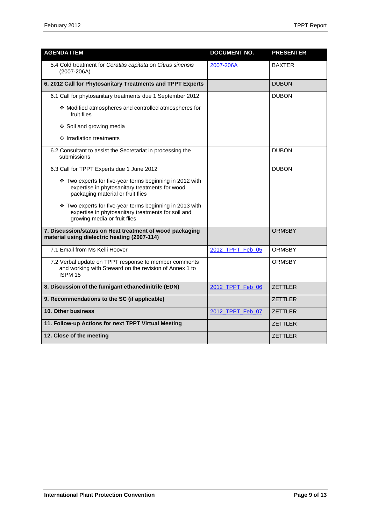| <b>AGENDA ITEM</b>                                                                                                                              | <b>DOCUMENT NO.</b> | <b>PRESENTER</b> |
|-------------------------------------------------------------------------------------------------------------------------------------------------|---------------------|------------------|
| 5.4 Cold treatment for Ceratitis capitata on Citrus sinensis<br>$(2007 - 206A)$                                                                 | 2007-206A           | <b>BAXTER</b>    |
| 6. 2012 Call for Phytosanitary Treatments and TPPT Experts                                                                                      |                     | <b>DUBON</b>     |
| 6.1 Call for phytosanitary treatments due 1 September 2012                                                                                      |                     | <b>DUBON</b>     |
| ❖ Modified atmospheres and controlled atmospheres for<br>fruit flies                                                                            |                     |                  |
| ❖ Soil and growing media                                                                                                                        |                     |                  |
| ❖ Irradiation treatments                                                                                                                        |                     |                  |
| 6.2 Consultant to assist the Secretariat in processing the<br>submissions                                                                       |                     | <b>DUBON</b>     |
| 6.3 Call for TPPT Experts due 1 June 2012                                                                                                       |                     | <b>DUBON</b>     |
| ❖ Two experts for five-year terms beginning in 2012 with<br>expertise in phytosanitary treatments for wood<br>packaging material or fruit flies |                     |                  |
| ❖ Two experts for five-year terms beginning in 2013 with<br>expertise in phytosanitary treatments for soil and<br>growing media or fruit flies  |                     |                  |
| 7. Discussion/status on Heat treatment of wood packaging<br>material using dielectric heating (2007-114)                                        |                     | <b>ORMSBY</b>    |
| 7.1 Email from Ms Kelli Hoover                                                                                                                  | 2012_TPPT_Feb_05    | <b>ORMSBY</b>    |
| 7.2 Verbal update on TPPT response to member comments<br>and working with Steward on the revision of Annex 1 to<br>ISPM 15                      |                     | <b>ORMSBY</b>    |
| 8. Discussion of the fumigant ethanedinitrile (EDN)                                                                                             | 2012_TPPT_Feb_06    | <b>ZETTLER</b>   |
| 9. Recommendations to the SC (if applicable)                                                                                                    |                     | <b>ZETTLER</b>   |
| 10. Other business                                                                                                                              | 2012_TPPT_Feb_07    | <b>ZETTLER</b>   |
| 11. Follow-up Actions for next TPPT Virtual Meeting                                                                                             |                     | <b>ZETTLER</b>   |
| 12. Close of the meeting                                                                                                                        |                     | <b>ZETTI FR</b>  |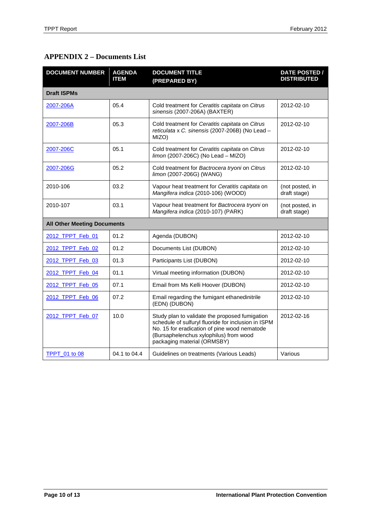# <span id="page-9-0"></span>**APPENDIX 2 – Documents List**

| <b>DOCUMENT NUMBER</b> | <b>AGENDA</b><br><b>ITEM</b>       | <b>DOCUMENT TITLE</b><br>(PREPARED BY)                                                                                                                                                                                         | DATE POSTED /<br><b>DISTRIBUTED</b> |  |  |
|------------------------|------------------------------------|--------------------------------------------------------------------------------------------------------------------------------------------------------------------------------------------------------------------------------|-------------------------------------|--|--|
| <b>Draft ISPMs</b>     |                                    |                                                                                                                                                                                                                                |                                     |  |  |
| 2007-206A              | 05.4                               | Cold treatment for Ceratitis capitata on Citrus<br>sinensis (2007-206A) (BAXTER)                                                                                                                                               | 2012-02-10                          |  |  |
| 2007-206B              | 05.3                               | Cold treatment for Ceratitis capitata on Citrus<br>reticulata x C. sinensis (2007-206B) (No Lead -<br>MIZO)                                                                                                                    | 2012-02-10                          |  |  |
| 2007-206C              | 05.1                               | Cold treatment for Ceratitis capitata on Citrus<br>limon (2007-206C) (No Lead - MIZO)                                                                                                                                          | 2012-02-10                          |  |  |
| 2007-206G              | 05.2                               | Cold treatment for Bactrocera tryoni on Citrus<br>limon (2007-206G) (WANG)                                                                                                                                                     | 2012-02-10                          |  |  |
| 2010-106               | 03.2                               | Vapour heat treatment for Ceratitis capitata on<br>Mangifera indica (2010-106) (WOOD)                                                                                                                                          | (not posted, in<br>draft stage)     |  |  |
| 2010-107               | 03.1                               | Vapour heat treatment for Bactrocera tryoni on<br>Mangifera indica (2010-107) (PARK)                                                                                                                                           | (not posted, in<br>draft stage)     |  |  |
|                        | <b>All Other Meeting Documents</b> |                                                                                                                                                                                                                                |                                     |  |  |
| 2012 TPPT Feb 01       | 01.2                               | Agenda (DUBON)                                                                                                                                                                                                                 | 2012-02-10                          |  |  |
| 2012_TPPT_Feb_02       | 01.2                               | Documents List (DUBON)                                                                                                                                                                                                         | 2012-02-10                          |  |  |
| 2012_TPPT_Feb_03       | 01.3                               | Participants List (DUBON)                                                                                                                                                                                                      | 2012-02-10                          |  |  |
| 2012 TPPT Feb 04       | 01.1                               | Virtual meeting information (DUBON)                                                                                                                                                                                            | 2012-02-10                          |  |  |
| 2012_TPPT_Feb_05       | 07.1                               | Email from Ms Kelli Hoover (DUBON)                                                                                                                                                                                             | 2012-02-10                          |  |  |
| 2012 TPPT Feb 06       | 07.2                               | Email regarding the fumigant ethanedinitrile<br>(EDN) (DUBON)                                                                                                                                                                  | 2012-02-10                          |  |  |
| 2012 TPPT Feb 07       | 10.0                               | Study plan to validate the proposed fumigation<br>schedule of sulfuryl fluoride for inclusion in ISPM<br>No. 15 for eradication of pine wood nematode<br>(Bursaphelenchus xylophilus) from wood<br>packaging material (ORMSBY) | 2012-02-16                          |  |  |
| <b>TPPT</b> 01 to 08   | 04.1 to 04.4                       | Guidelines on treatments (Various Leads)                                                                                                                                                                                       | Various                             |  |  |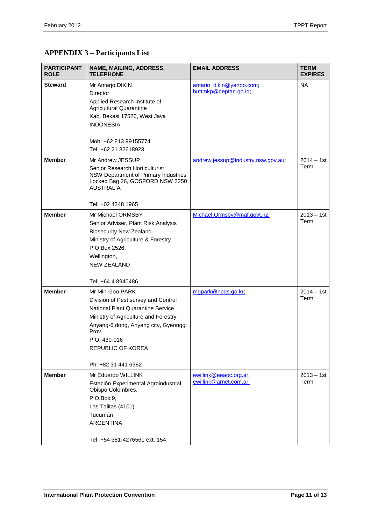<span id="page-10-0"></span>

| <b>PARTICIPANT</b><br><b>ROLE</b> | NAME, MAILING, ADDRESS,<br><b>TELEPHONE</b>                                                                                                                                                                                                      | <b>EMAIL ADDRESS</b>                              | <b>TERM</b><br><b>EXPIRES</b> |
|-----------------------------------|--------------------------------------------------------------------------------------------------------------------------------------------------------------------------------------------------------------------------------------------------|---------------------------------------------------|-------------------------------|
| <b>Steward</b>                    | Mr Antarjo DIKIN<br>Director<br>Applied Research Institute of<br>Agricultural Quarantine<br>Kab. Bekasi 17520, West Java<br><b>INDONESIA</b><br>Mob: +62 813 99155774<br>Tel: +62 21 82618923                                                    | antario dikin@yahoo.com;<br>buttmkp@deptan.go.id; | <b>NA</b>                     |
| <b>Member</b>                     | Mr Andrew JESSUP<br>Senior Research Horticulturist<br>NSW Department of Primary Industries<br>Locked Bag 26, GOSFORD NSW 2250<br><b>AUSTRALIA</b><br>Tel: +02 4348 1965                                                                          | andrew.jessup@industry.nsw.gov.au;                | $2014 - 1st$<br>Term          |
| <b>Member</b>                     | Mr Michael ORMSBY<br>Senior Adviser, Plant Risk Analysis<br><b>Biosecurity New Zealand</b><br>Ministry of Agriculture & Forestry<br>P.O Box 2526,<br>Wellington,<br><b>NEW ZEALAND</b><br>Tel: +64 4 8940486                                     | Michael.Ormsby@maf.govt.nz;                       | $2013 - 1st$<br>Term          |
| <b>Member</b>                     | Mr Min-Goo PARK<br>Division of Pest survey and Control<br>National Plant Quarantine Service<br>Ministry of Agriculture and Forestry<br>Anyang-6 dong, Anyang city, Gyeonggi<br>Prov.<br>P.O. 430-016<br>REPUBLIC OF KOREA<br>Ph: +82 31 441 6982 | mgpark@npqs.go.kr;                                | $2014 - 1st$<br>Term          |
| <b>Member</b>                     | Mr Eduardo WILLINK<br>Estación Experimental Agroindustrial<br>Obispo Colombres,<br>P.O.Box 9,<br>Las Talitas (4101)<br>Tucumán<br><b>ARGENTINA</b><br>Tel: +54 381-4276561 ext. 154                                                              | ewillink@eeaoc.org.ar;<br>ewillink@arnet.com.ar;  | $2013 - 1st$<br>Term          |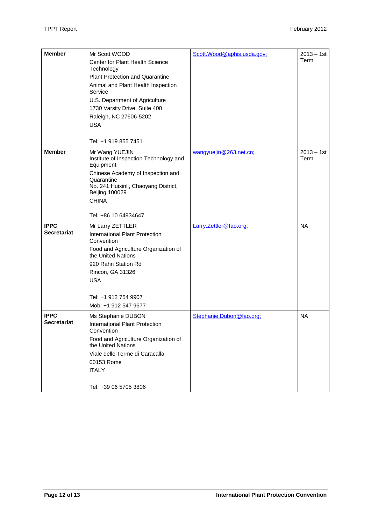| <b>Member</b>                     | Mr Scott WOOD<br>Center for Plant Health Science<br>Technology<br><b>Plant Protection and Quarantine</b><br>Animal and Plant Health Inspection<br>Service<br>U.S. Department of Agriculture<br>1730 Varsity Drive, Suite 400<br>Raleigh, NC 27606-5202<br><b>USA</b><br>Tel: +1 919 855 7451 | Scott.Wood@aphis.usda.gov; | $2013 - 1st$<br>Term |
|-----------------------------------|----------------------------------------------------------------------------------------------------------------------------------------------------------------------------------------------------------------------------------------------------------------------------------------------|----------------------------|----------------------|
| <b>Member</b>                     | Mr Wang YUEJIN<br>Institute of Inspection Technology and<br>Equipment<br>Chinese Academy of Inspection and<br>Quarantine<br>No. 241 Huixinli, Chaoyang District,<br><b>Beijing 100029</b><br><b>CHINA</b><br>Tel: +86 10 64934647                                                            | wangyuejin@263.net.cn;     | $2013 - 1st$<br>Term |
| <b>IPPC</b><br><b>Secretariat</b> | Mr Larry ZETTLER<br>International Plant Protection<br>Convention<br>Food and Agriculture Organization of<br>the United Nations<br>920 Rahn Station Rd<br>Rincon, GA 31326<br><b>USA</b><br>Tel: +1 912 754 9907<br>Mob: +1 912 547 9677                                                      | Larry.Zettler@fao.org;     | <b>NA</b>            |
| <b>IPPC</b><br><b>Secretariat</b> | Ms Stephanie DUBON<br>International Plant Protection<br>Convention<br>Food and Agriculture Organization of<br>the United Nations<br>Viale delle Terme di Caracalla<br>00153 Rome<br><b>ITALY</b><br>Tel: +39 06 5705 3806                                                                    | Stephanie.Dubon@fao.org;   | <b>NA</b>            |